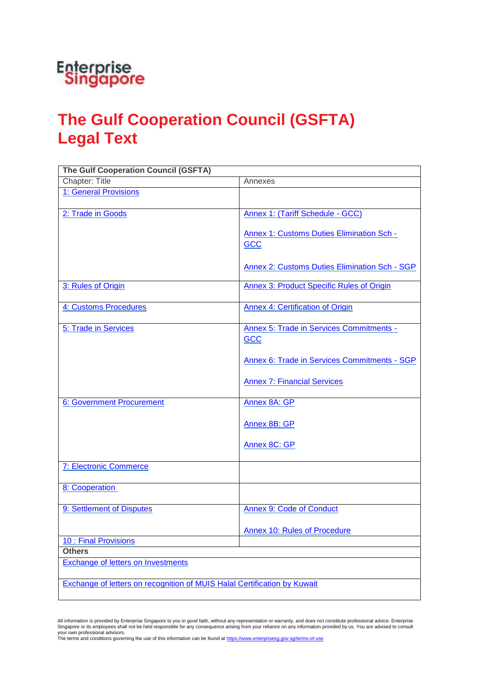

## **The Gulf Cooperation Council (GSFTA) Legal Text**

| <b>The Gulf Cooperation Council (GSFTA)</b>                              |                                                                |
|--------------------------------------------------------------------------|----------------------------------------------------------------|
| Chapter: Title                                                           | Annexes                                                        |
| 1: General Provisions                                                    |                                                                |
| 2: Trade in Goods                                                        | <b>Annex 1: (Tariff Schedule - GCC)</b>                        |
|                                                                          | <b>Annex 1: Customs Duties Elimination Sch -</b><br><b>GCC</b> |
|                                                                          | <b>Annex 2: Customs Duties Elimination Sch - SGP</b>           |
| 3: Rules of Origin                                                       | <b>Annex 3: Product Specific Rules of Origin</b>               |
| 4: Customs Procedures                                                    | Annex 4: Certification of Origin                               |
| 5: Trade in Services                                                     | Annex 5: Trade in Services Commitments -<br><b>GCC</b>         |
|                                                                          | <b>Annex 6: Trade in Services Commitments - SGP</b>            |
|                                                                          | <b>Annex 7: Financial Services</b>                             |
| 6: Government Procurement                                                | Annex 8A: GP                                                   |
|                                                                          | Annex 8B: GP                                                   |
|                                                                          | Annex 8C: GP                                                   |
| <b>7: Electronic Commerce</b>                                            |                                                                |
| 8: Cooperation                                                           |                                                                |
| 9: Settlement of Disputes                                                | <b>Annex 9: Code of Conduct</b>                                |
|                                                                          | <b>Annex 10: Rules of Procedure</b>                            |
| 10 : Final Provisions                                                    |                                                                |
| <b>Others</b><br><b>Exchange of letters on Investments</b>               |                                                                |
|                                                                          |                                                                |
| Exchange of letters on recognition of MUIS Halal Certification by Kuwait |                                                                |

All information is provided by Enterprise Singapore to you in good faith, without any representation or warranty, and does not constitute professional advice. Enterprise<br>Singapore or its employees shall not be held respons